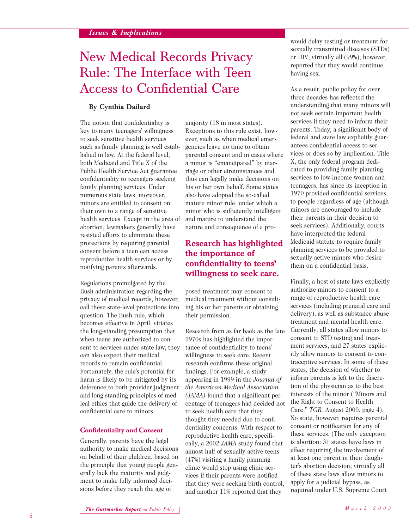# New Medical Records Privacy Rule: The Interface with Teen Access to Confidential Care

## **By Cynthia Dailard**

The notion that confidentiality is key to many teenagers' willingness to seek sensitive health services such as family planning is well established in law. At the federal level, both Medicaid and Title X of the Public Health Service Act guarantee confidentiality to teenagers seeking family planning services. Under numerous state laws, moreover, minors are entitled to consent on their own to a range of sensitive health services. Except in the area of abortion, lawmakers generally have resisted efforts to eliminate these protections by requiring parental consent before a teen can access reproductive health services or by notifying parents afterwards.

Regulations promulgated by the Bush administration regarding the privacy of medical records, however, call these state-level protections into question. The Bush rule, which becomes effective in April, vitiates the long-standing presumption that when teens are authorized to consent to services under state law, they can also expect their medical records to remain confidential. Fortunately, the rule's potential for harm is likely to be mitigated by its deference to both provider judgment and long-standing principles of medical ethics that guide the delivery of confidential care to minors.

### **Confidentiality and Consent**

Generally, parents have the legal authority to make medical decisions on behalf of their children, based on the principle that young people generally lack the maturity and judgment to make fully informed decisions before they reach the age of

majority (18 in most states). Exceptions to this rule exist, however, such as when medical emergencies leave no time to obtain parental consent and in cases where a minor is "emancipated" by marriage or other circumstances and thus can legally make decisions on his or her own behalf. Some states also have adopted the so-called mature minor rule, under which a minor who is sufficiently intelligent and mature to understand the nature and consequence of a pro-

## **Research has highlighted the importance of confidentiality to teens' willingness to seek care.**

posed treatment may consent to medical treatment without consulting his or her parents or obtaining their permission.

Research from as far back as the late 1970s has highlighted the importance of confidentiality to teens' willingness to seek care. Recent research confirms these original findings. For example, a study appearing in 1999 in the *Journal of the American Medical Association (JAMA)* found that a significant percentage of teenagers had decided not to seek health care that they thought they needed due to confidentiality concerns. With respect to reproductive health care, specifically, a 2002 *JAMA* study found that almost half of sexually active teens (47%) visiting a family planning clinic would stop using clinic services if their parents were notified that they were seeking birth control, and another 11% reported that they

would delay testing or treatment for sexually transmitted diseases (STDs) or HIV; virtually all (99%), however, reported that they would continue having sex.

As a result, public policy for over three decades has reflected the understanding that many minors will not seek certain important health services if they need to inform their parents. Today, a significant body of federal and state law explicitly guarantees confidential access to services or does so by implication. Title X, the only federal program dedicated to providing family planning services to low-income women and teenagers, has since its inception in 1970 provided confidential services to people regardless of age (although minors are encouraged to include their parents in their decision to seek services). Additionally, courts have interpreted the federal Medicaid statute to require family planning services to be provided to sexually active minors who desire them on a confidential basis.

Finally, a host of state laws explicitly authorize minors to consent to a range of reproductive health care services (including prenatal care and delivery), as well as substance abuse treatment and mental health care. Currently, all states allow minors to consent to STD testing and treatment services, and 27 states explicitly allow minors to consent to contraceptive services. In some of these states, the decision of whether to inform parents is left to the discretion of the physician as to the best interests of the minor ("Minors and the Right to Consent to Health Care," *TGR,* August 2000, page 4). No state, however, requires parental consent or notification for any of these services. (The only exception is abortion: 31 states have laws in effect requiring the involvement of at least one parent in their daughter's abortion decision; virtually all of these state laws allow minors to apply for a judicial bypass, as required under U.S. Supreme Court